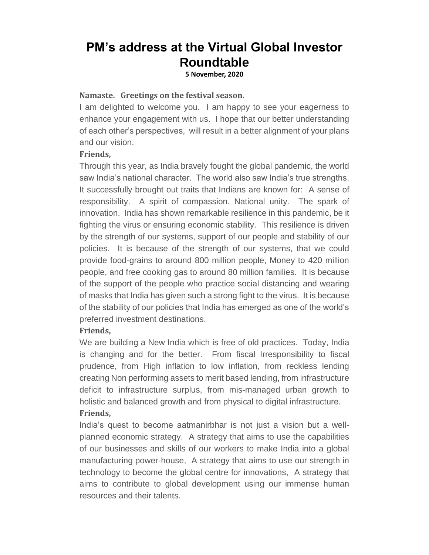# **PM's address at the Virtual Global Investor Roundtable**

**5 November, 2020**

#### **Namaste. Greetings on the festival season.**

I am delighted to welcome you. I am happy to see your eagerness to enhance your engagement with us. I hope that our better understanding of each other's perspectives, will result in a better alignment of your plans and our vision.

#### **Friends,**

Through this year, as India bravely fought the global pandemic, the world saw India's national character. The world also saw India's true strengths. It successfully brought out traits that Indians are known for: A sense of responsibility. A spirit of compassion. National unity. The spark of innovation. India has shown remarkable resilience in this pandemic, be it fighting the virus or ensuring economic stability. This resilience is driven by the strength of our systems, support of our people and stability of our policies. It is because of the strength of our systems, that we could provide food-grains to around 800 million people, Money to 420 million people, and free cooking gas to around 80 million families. It is because of the support of the people who practice social distancing and wearing of masks that India has given such a strong fight to the virus. It is because of the stability of our policies that India has emerged as one of the world's preferred investment destinations.

#### **Friends,**

We are building a New India which is free of old practices. Today, India is changing and for the better. From fiscal Irresponsibility to fiscal prudence, from High inflation to low inflation, from reckless lending creating Non performing assets to merit based lending, from infrastructure deficit to infrastructure surplus, from mis-managed urban growth to holistic and balanced growth and from physical to digital infrastructure.

#### **Friends,**

India's quest to become aatmanirbhar is not just a vision but a wellplanned economic strategy. A strategy that aims to use the capabilities of our businesses and skills of our workers to make India into a global manufacturing power-house, A strategy that aims to use our strength in technology to become the global centre for innovations, A strategy that aims to contribute to global development using our immense human resources and their talents.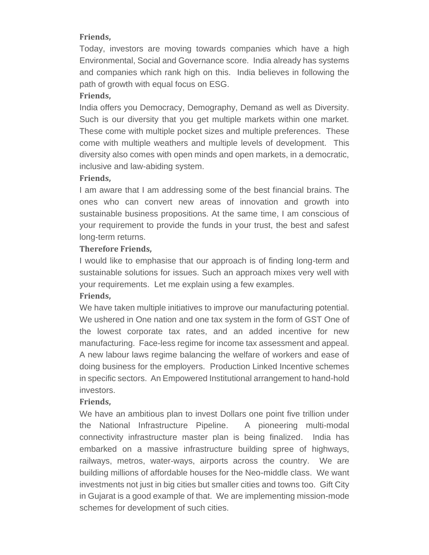### **Friends,**

Today, investors are moving towards companies which have a high Environmental, Social and Governance score. India already has systems and companies which rank high on this. India believes in following the path of growth with equal focus on ESG.

## **Friends,**

India offers you Democracy, Demography, Demand as well as Diversity. Such is our diversity that you get multiple markets within one market. These come with multiple pocket sizes and multiple preferences. These come with multiple weathers and multiple levels of development. This diversity also comes with open minds and open markets, in a democratic, inclusive and law-abiding system.

#### **Friends,**

I am aware that I am addressing some of the best financial brains. The ones who can convert new areas of innovation and growth into sustainable business propositions. At the same time, I am conscious of your requirement to provide the funds in your trust, the best and safest long-term returns.

## **Therefore Friends,**

I would like to emphasise that our approach is of finding long-term and sustainable solutions for issues. Such an approach mixes very well with your requirements. Let me explain using a few examples.

#### **Friends,**

We have taken multiple initiatives to improve our manufacturing potential. We ushered in One nation and one tax system in the form of GST One of the lowest corporate tax rates, and an added incentive for new manufacturing. Face-less regime for income tax assessment and appeal. A new labour laws regime balancing the welfare of workers and ease of doing business for the employers. Production Linked Incentive schemes in specific sectors. An Empowered Institutional arrangement to hand-hold investors.

#### **Friends,**

We have an ambitious plan to invest Dollars one point five trillion under the National Infrastructure Pipeline. A pioneering multi-modal connectivity infrastructure master plan is being finalized. India has embarked on a massive infrastructure building spree of highways, railways, metros, water-ways, airports across the country. We are building millions of affordable houses for the Neo-middle class. We want investments not just in big cities but smaller cities and towns too. Gift City in Gujarat is a good example of that. We are implementing mission-mode schemes for development of such cities.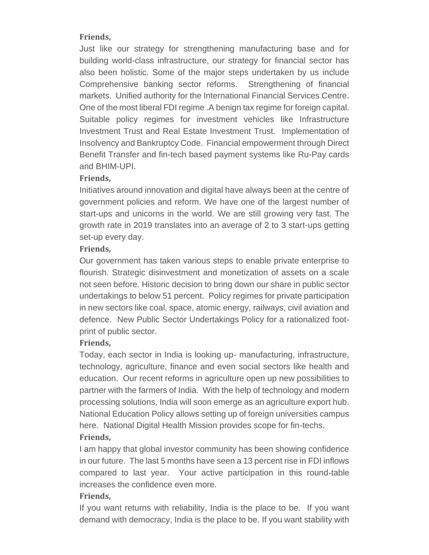### **Friends,**

Just like our strategy for strengthening manufacturing base and for building world-class infrastructure, our strategy for financial sector has also been holistic. Some of the major steps undertaken by us include Comprehensive banking sector reforms. Strengthening of financial markets. Unified authority for the International Financial Services Centre. One of the most liberal FDI regime .A benign tax regime for foreign capital. Suitable policy regimes for investment vehicles like Infrastructure Investment Trust and Real Estate Investment Trust. Implementation of Insolvency and Bankruptcy Code. Financial empowerment through Direct Benefit Transfer and fin-tech based payment systems like Ru-Pay cards and BHIM-UPI.

## **Friends,**

Initiatives around innovation and digital have always been at the centre of government policies and reform. We have one of the largest number of start-ups and unicorns in the world. We are still growing very fast. The growth rate in 2019 translates into an average of 2 to 3 start-ups getting set-up every day.

## **Friends,**

Our government has taken various steps to enable private enterprise to flourish. Strategic disinvestment and monetization of assets on a scale not seen before. Historic decision to bring down our share in public sector undertakings to below 51 percent. Policy regimes for private participation in new sectors like coal, space, atomic energy, railways, civil aviation and defence. New Public Sector Undertakings Policy for a rationalized footprint of public sector.

## **Friends,**

Today, each sector in India is looking up- manufacturing, infrastructure, technology, agriculture, finance and even social sectors like health and education. Our recent reforms in agriculture open up new possibilities to partner with the farmers of India. With the help of technology and modern processing solutions, India will soon emerge as an agriculture export hub. National Education Policy allows setting up of foreign universities campus here. National Digital Health Mission provides scope for fin-techs.

## **Friends,**

I am happy that global investor community has been showing confidence in our future. The last 5 months have seen a 13 percent rise in FDI inflows compared to last year. Your active participation in this round-table increases the confidence even more.

## **Friends,**

If you want returns with reliability, India is the place to be. If you want demand with democracy, India is the place to be. If you want stability with